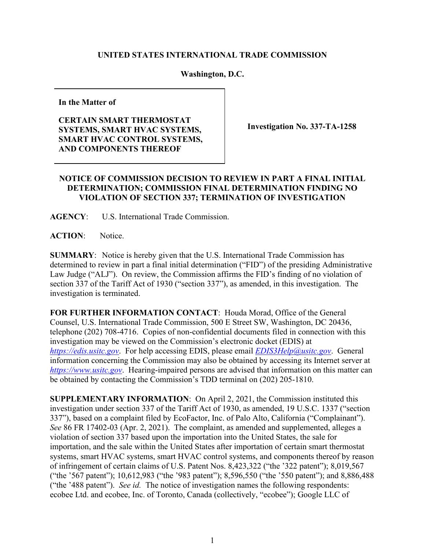## **UNITED STATES INTERNATIONAL TRADE COMMISSION**

## **Washington, D.C.**

**In the Matter of** 

## **CERTAIN SMART THERMOSTAT SYSTEMS, SMART HVAC SYSTEMS, SMART HVAC CONTROL SYSTEMS, AND COMPONENTS THEREOF**

**Investigation No. 337-TA-1258** 

## **NOTICE OF COMMISSION DECISION TO REVIEW IN PART A FINAL INITIAL DETERMINATION; COMMISSION FINAL DETERMINATION FINDING NO VIOLATION OF SECTION 337; TERMINATION OF INVESTIGATION**

**AGENCY**: U.S. International Trade Commission.

**ACTION**: Notice.

**SUMMARY**: Notice is hereby given that the U.S. International Trade Commission has determined to review in part a final initial determination ("FID") of the presiding Administrative Law Judge ("ALJ"). On review, the Commission affirms the FID's finding of no violation of section 337 of the Tariff Act of 1930 ("section 337"), as amended, in this investigation. The investigation is terminated.

**FOR FURTHER INFORMATION CONTACT**: Houda Morad, Office of the General Counsel, U.S. International Trade Commission, 500 E Street SW, Washington, DC 20436, telephone (202) 708-4716. Copies of non-confidential documents filed in connection with this investigation may be viewed on the Commission's electronic docket (EDIS) at *[https://edis.usitc.gov](https://edis.usitc.gov/)*. For help accessing EDIS, please email *[EDIS3Help@usitc.gov](mailto:EDIS3Help@usitc.gov)*. General information concerning the Commission may also be obtained by accessing its Internet server at *[https://www.usitc.gov](https://www.usitc.gov/)*. Hearing-impaired persons are advised that information on this matter can be obtained by contacting the Commission's TDD terminal on (202) 205-1810.

**SUPPLEMENTARY INFORMATION**: On April 2, 2021, the Commission instituted this investigation under section 337 of the Tariff Act of 1930, as amended, 19 U.S.C. 1337 ("section 337"), based on a complaint filed by EcoFactor, Inc. of Palo Alto, California ("Complainant"). *See* 86 FR 17402-03 (Apr. 2, 2021). The complaint, as amended and supplemented, alleges a violation of section 337 based upon the importation into the United States, the sale for importation, and the sale within the United States after importation of certain smart thermostat systems, smart HVAC systems, smart HVAC control systems, and components thereof by reason of infringement of certain claims of U.S. Patent Nos. 8,423,322 ("the '322 patent"); 8,019,567 ("the '567 patent"); 10,612,983 ("the '983 patent"); 8,596,550 ("the '550 patent"); and 8,886,488 ("the '488 patent"). *See id.* The notice of investigation names the following respondents: ecobee Ltd. and ecobee, Inc. of Toronto, Canada (collectively, "ecobee"); Google LLC of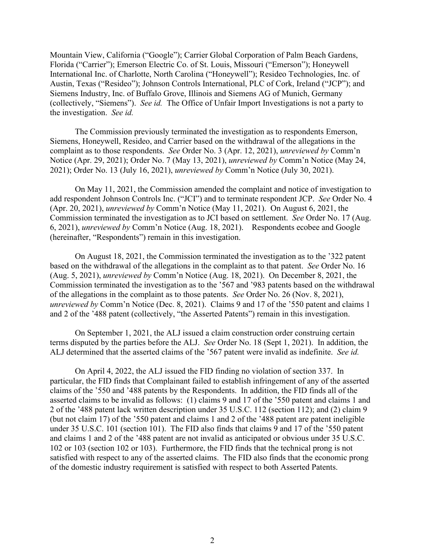Mountain View, California ("Google"); Carrier Global Corporation of Palm Beach Gardens, Florida ("Carrier"); Emerson Electric Co. of St. Louis, Missouri ("Emerson"); Honeywell International Inc. of Charlotte, North Carolina ("Honeywell"); Resideo Technologies, Inc. of Austin, Texas ("Resideo"); Johnson Controls International, PLC of Cork, Ireland ("JCP"); and Siemens Industry, Inc. of Buffalo Grove, Illinois and Siemens AG of Munich, Germany (collectively, "Siemens"). *See id.* The Office of Unfair Import Investigations is not a party to the investigation. *See id.*

The Commission previously terminated the investigation as to respondents Emerson, Siemens, Honeywell, Resideo, and Carrier based on the withdrawal of the allegations in the complaint as to those respondents. *See* Order No. 3 (Apr. 12, 2021), *unreviewed by* Comm'n Notice (Apr. 29, 2021); Order No. 7 (May 13, 2021), *unreviewed by* Comm'n Notice (May 24, 2021); Order No. 13 (July 16, 2021), *unreviewed by* Comm'n Notice (July 30, 2021).

On May 11, 2021, the Commission amended the complaint and notice of investigation to add respondent Johnson Controls Inc. ("JCI") and to terminate respondent JCP. *See* Order No. 4 (Apr. 20, 2021), *unreviewed by* Comm'n Notice (May 11, 2021). On August 6, 2021, the Commission terminated the investigation as to JCI based on settlement. *See* Order No. 17 (Aug. 6, 2021), *unreviewed by* Comm'n Notice (Aug. 18, 2021). Respondents ecobee and Google (hereinafter, "Respondents") remain in this investigation.

On August 18, 2021, the Commission terminated the investigation as to the '322 patent based on the withdrawal of the allegations in the complaint as to that patent. *See* Order No. 16 (Aug. 5, 2021), *unreviewed by* Comm'n Notice (Aug. 18, 2021). On December 8, 2021, the Commission terminated the investigation as to the '567 and '983 patents based on the withdrawal of the allegations in the complaint as to those patents. *See* Order No. 26 (Nov. 8, 2021), *unreviewed by* Comm'n Notice (Dec. 8, 2021). Claims 9 and 17 of the '550 patent and claims 1 and 2 of the '488 patent (collectively, "the Asserted Patents") remain in this investigation.

On September 1, 2021, the ALJ issued a claim construction order construing certain terms disputed by the parties before the ALJ. *See* Order No. 18 (Sept 1, 2021). In addition, the ALJ determined that the asserted claims of the '567 patent were invalid as indefinite. *See id.*

On April 4, 2022, the ALJ issued the FID finding no violation of section 337. In particular, the FID finds that Complainant failed to establish infringement of any of the asserted claims of the '550 and '488 patents by the Respondents. In addition, the FID finds all of the asserted claims to be invalid as follows: (1) claims 9 and 17 of the '550 patent and claims 1 and 2 of the '488 patent lack written description under 35 U.S.C. 112 (section 112); and (2) claim 9 (but not claim 17) of the '550 patent and claims 1 and 2 of the '488 patent are patent ineligible under 35 U.S.C. 101 (section 101). The FID also finds that claims 9 and 17 of the '550 patent and claims 1 and 2 of the '488 patent are not invalid as anticipated or obvious under 35 U.S.C. 102 or 103 (section 102 or 103). Furthermore, the FID finds that the technical prong is not satisfied with respect to any of the asserted claims. The FID also finds that the economic prong of the domestic industry requirement is satisfied with respect to both Asserted Patents.